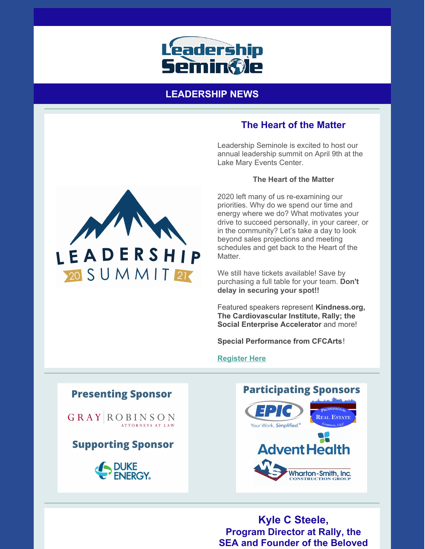

# **LEADERSHIP NEWS**

# **The Heart of the Matter**

Leadership Seminole is excited to host our annual leadership summit on April 9th at the Lake Mary Events Center.

### **The Heart of the Matter**

2020 left many of us re-examining our priorities. Why do we spend our time and energy where we do? What motivates your drive to succeed personally, in your career, or in the community? Let's take a day to look beyond sales projections and meeting schedules and get back to the Heart of the Matter.

We still have tickets available! Save by purchasing a full table for your team. **Don't delay in securing your spot!!**

Featured speakers represent **Kindness.org, The Cardiovascular Institute, Rally; the Social Enterprise Accelerator** and more!

**Special Performance from CFCArts**!

#### **[Register](https://leadershipseminole.org/event/summit/) Here**

**Presenting Sponsor** 

**GRAY ROBINSON** ATTORNEYS AT LAW

**Supporting Sponsor** 





**Kyle C Steele, Program Director at Rally, the SEA and Founder of the Beloved**

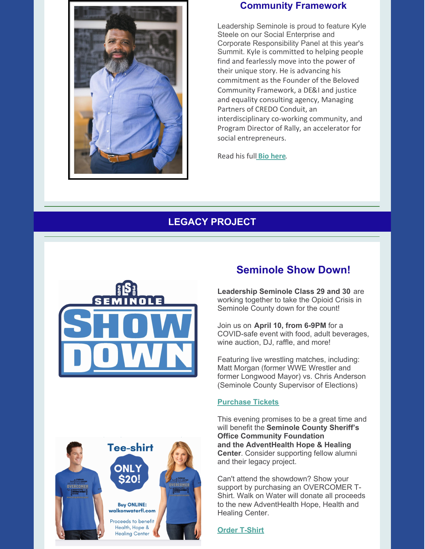

## **Community Framework**

Leadership Seminole is proud to feature Kyle Steele on our Social Enterprise and Corporate Responsibility Panel at this year's Summit. Kyle is committed to helping people find and fearlessly move into the power of their unique story. He is advancing his commitment as the Founder of the Beloved Community Framework, a DE&I and justice and equality consulting agency, Managing Partners of CREDO Conduit, an interdisciplinary co-working community, and Program Director of Rally, an accelerator for social entrepreneurs.

Read his full **Bio [here](https://files.constantcontact.com/206c3f27be/6b6e67d0-1cae-4c46-8afe-7f11b8769819.pdf)**.

# **LEGACY PROJECT**





# **Seminole Show Down!**

**Leadership Seminole Class 29 and 30** are working together to take the Opioid Crisis in Seminole County down for the count!

Join us on **April 10, from 6-9PM** for a COVID-safe event with food, adult beverages, wine auction, DJ, raffle, and more!

Featuring live wrestling matches, including: Matt Morgan (former WWE Wrestler and former Longwood Mayor) vs. Chris Anderson (Seminole County Supervisor of Elections)

#### **[Purchase](https://www.givesignup.org/TicketEvent/SeminoleShowDown) Tickets**

This evening promises to be a great time and will benefit the **Seminole County Sheriff's Office Community Foundation and the AdventHealth Hope & Healing Center**. Consider supporting fellow alumni and their legacy project.

Can't attend the showdown? Show your support by purchasing an OVERCOMER T-Shirt. Walk on Water will donate all proceeds to the new AdventHealth Hope, Health and Healing Center.

**Order [T-Shirt](http://walkonwaterfl.com)**